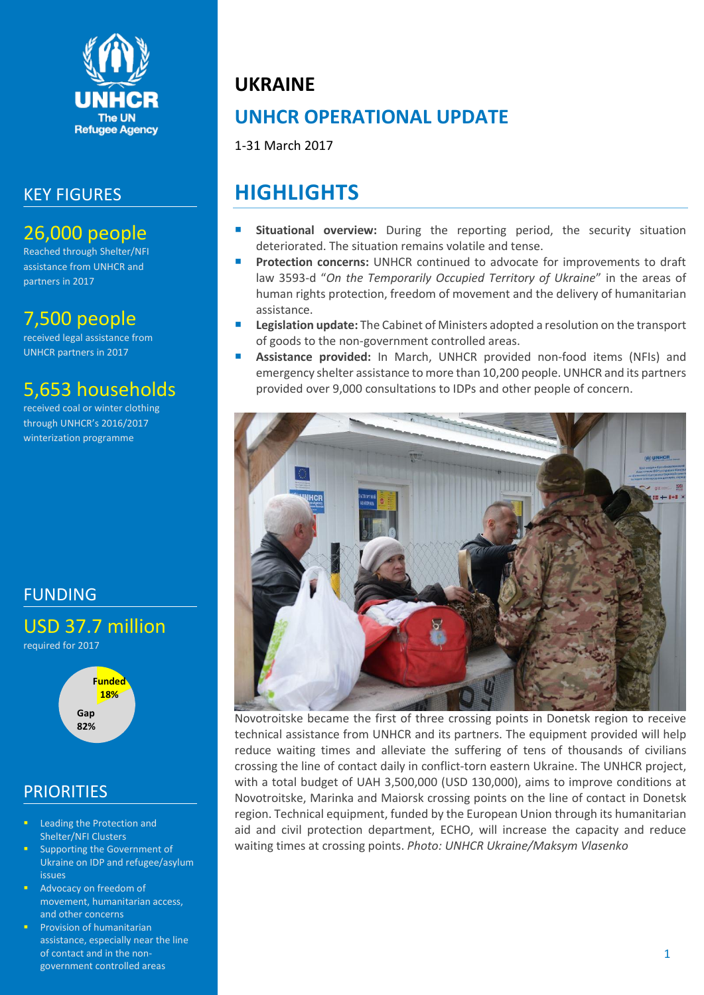

## KEY FIGURES

# 26,000 people

Reached through Shelter/NFI assistance from UNHCR and partners in 2017

## 7,500 people

received legal assistance from UNHCR partners in 2017

# 5,653 households

received coal or winter clothing through UNHCR's 2016/2017 winterization programme

# FUNDING

USD 37.7 million required for 2017



## **PRIORITIES**

- Leading the Protection and Shelter/NFI Clusters
- Supporting the Government of Ukraine on IDP and refugee/asylum issues
- Advocacy on freedom of movement, humanitarian access, and other concerns
- Provision of humanitarian assistance, especially near the line of contact and in the nongovernment controlled areas

## **UKRAINE**

# **UNHCR OPERATIONAL UPDATE**

1-31 March 2017

# **HIGHLIGHTS**

- **Situational overview:** During the reporting period, the security situation deteriorated. The situation remains volatile and tense.
- **Protection concerns:** UNHCR continued to advocate for improvements to draft law 3593-d "*On the Temporarily Occupied Territory of Ukraine*" in the areas of human rights protection, freedom of movement and the delivery of humanitarian assistance.
- **Legislation update:** The Cabinet of Ministers adopted a resolution on the transport of goods to the non-government controlled areas.
- **Assistance provided:** In March, UNHCR provided non-food items (NFIs) and emergency shelter assistance to more than 10,200 people. UNHCR and its partners provided over 9,000 consultations to IDPs and other people of concern.



Novotroitske became the first of three crossing points in Donetsk region to receive technical assistance from UNHCR and its partners. The equipment provided will help reduce waiting times and alleviate the suffering of tens of thousands of civilians crossing the line of contact daily in conflict-torn eastern Ukraine. The UNHCR project, with a total budget of UAH 3,500,000 (USD 130,000), aims to improve conditions at Novotroitske, Marinka and Maiorsk crossing points on the line of contact in Donetsk region. Technical equipment, funded by the European Union through its humanitarian aid and civil protection department, ECHO, will increase the capacity and reduce waiting times at crossing points. *Photo: UNHCR Ukraine/Maksym Vlasenko*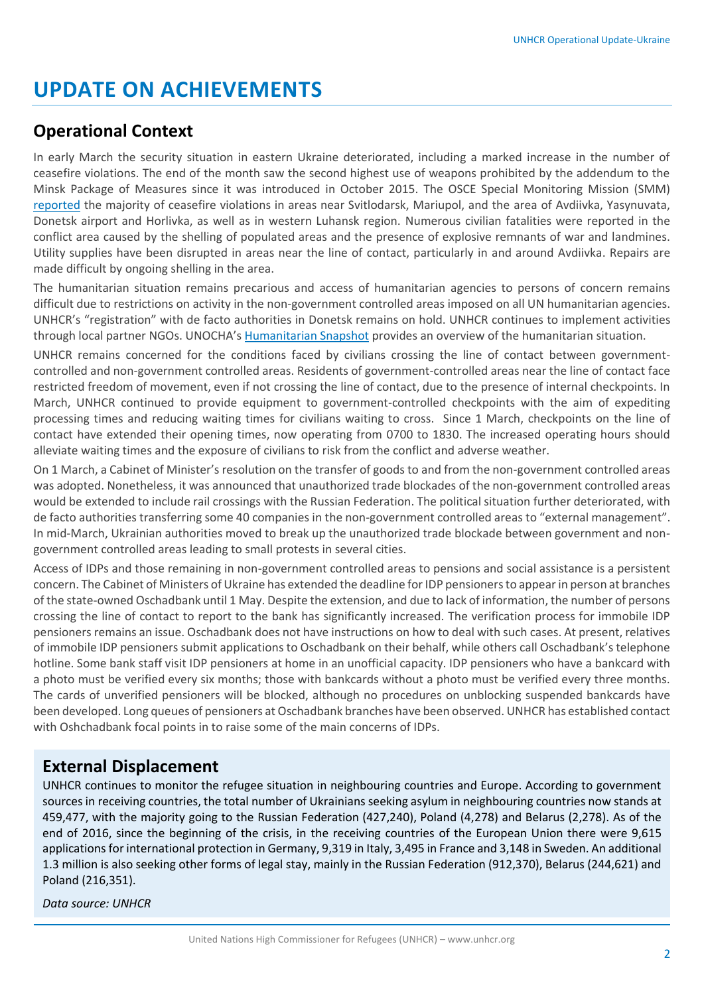## **UPDATE ON ACHIEVEMENTS**

### **Operational Context**

In early March the security situation in eastern Ukraine deteriorated, including a marked increase in the number of ceasefire violations. The end of the month saw the second highest use of weapons prohibited by the addendum to the Minsk Package of Measures since it was introduced in October 2015. The OSCE Special Monitoring Mission (SMM) [reported](http://www.osce.org/special-monitoring-mission-to-ukraine/306911?download=true) the majority of ceasefire violations in areas near Svitlodarsk, Mariupol, and the area of Avdiivka, Yasynuvata, Donetsk airport and Horlivka, as well as in western Luhansk region. Numerous civilian fatalities were reported in the conflict area caused by the shelling of populated areas and the presence of explosive remnants of war and landmines. Utility supplies have been disrupted in areas near the line of contact, particularly in and around Avdiivka. Repairs are made difficult by ongoing shelling in the area.

The humanitarian situation remains precarious and access of humanitarian agencies to persons of concern remains difficult due to restrictions on activity in the non-government controlled areas imposed on all UN humanitarian agencies. UNHCR's "registration" with de facto authorities in Donetsk remains on hold. UNHCR continues to implement activities through local partner NGOs. UNOCHA's [Humanitarian Snapshot](http://reliefweb.int/sites/reliefweb.int/files/resources/ukraine-humanitarian_snapshot_20170403_en.pdf) provides an overview of the humanitarian situation.

UNHCR remains concerned for the conditions faced by civilians crossing the line of contact between governmentcontrolled and non-government controlled areas. Residents of government-controlled areas near the line of contact face restricted freedom of movement, even if not crossing the line of contact, due to the presence of internal checkpoints. In March, UNHCR continued to provide equipment to government-controlled checkpoints with the aim of expediting processing times and reducing waiting times for civilians waiting to cross. Since 1 March, checkpoints on the line of contact have extended their opening times, now operating from 0700 to 1830. The increased operating hours should alleviate waiting times and the exposure of civilians to risk from the conflict and adverse weather.

On 1 March, a Cabinet of Minister's resolution on the transfer of goods to and from the non-government controlled areas was adopted. Nonetheless, it was announced that unauthorized trade blockades of the non-government controlled areas would be extended to include rail crossings with the Russian Federation. The political situation further deteriorated, with de facto authorities transferring some 40 companies in the non-government controlled areas to "external management". In mid-March, Ukrainian authorities moved to break up the unauthorized trade blockade between government and nongovernment controlled areas leading to small protests in several cities.

Access of IDPs and those remaining in non-government controlled areas to pensions and social assistance is a persistent concern. The Cabinet of Ministers of Ukraine has extended the deadline for IDP pensioners to appear in person at branches of the state-owned Oschadbank until 1 May. Despite the extension, and due to lack of information, the number of persons crossing the line of contact to report to the bank has significantly increased. The verification process for immobile IDP pensioners remains an issue. Oschadbank does not have instructions on how to deal with such cases. At present, relatives of immobile IDP pensioners submit applications to Oschadbank on their behalf, while others call Oschadbank's telephone hotline. Some bank staff visit IDP pensioners at home in an unofficial capacity. IDP pensioners who have a bankcard with a photo must be verified every six months; those with bankcards without a photo must be verified every three months. The cards of unverified pensioners will be blocked, although no procedures on unblocking suspended bankcards have been developed. Long queues of pensioners at Oschadbank branches have been observed. UNHCR has established contact with Oshchadbank focal points in to raise some of the main concerns of IDPs.

### **External Displacement**

UNHCR continues to monitor the refugee situation in neighbouring countries and Europe. According to government sources in receiving countries, the total number of Ukrainians seeking asylum in neighbouring countries now stands at 459,477, with the majority going to the Russian Federation (427,240), Poland (4,278) and Belarus (2,278). As of the end of 2016, since the beginning of the crisis, in the receiving countries of the European Union there were 9,615 applications for international protection in Germany, 9,319 in Italy, 3,495 in France and 3,148 in Sweden. An additional 1.3 million is also seeking other forms of legal stay, mainly in the Russian Federation (912,370), Belarus (244,621) and Poland (216,351).

*Data source: UNHCR*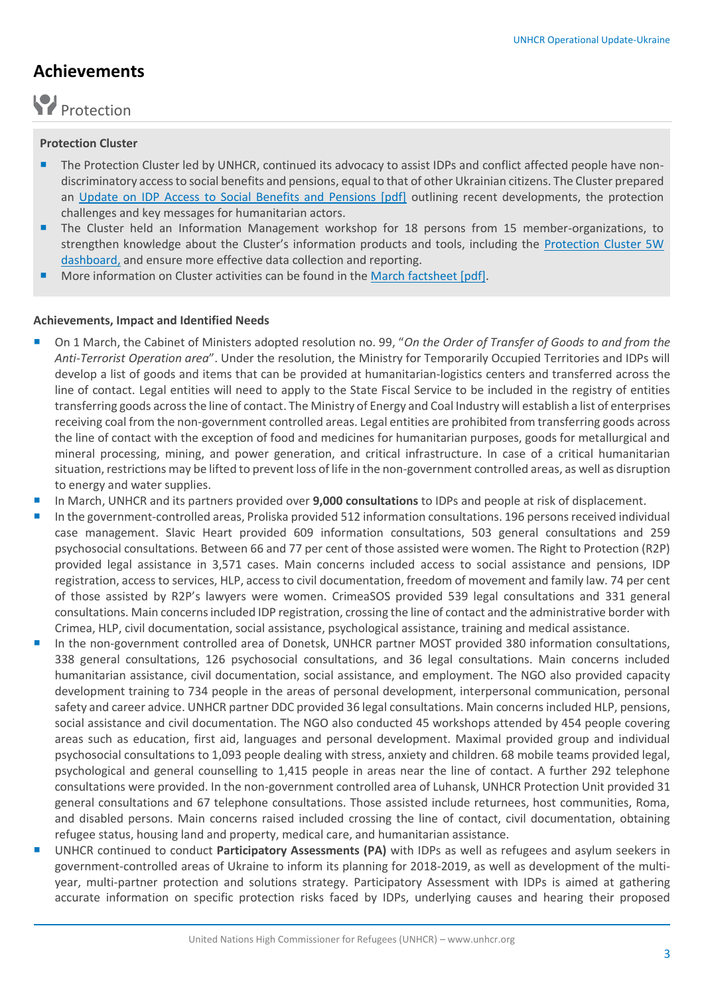## **Achievements**

# Protection

#### **Protection Cluster**

- The Protection Cluster led by UNHCR, continued its advocacy to assist IDPs and conflict affected people have nondiscriminatory access to social benefits and pensions, equal to that of other Ukrainian citizens. The Cluster prepared an [Update on IDP Access to Social Benefits and Pensions \[pdf\]](https://www.humanitarianresponse.info/system/files/documents/files/2017_02_idp_access_to_social_benefits_pensions_en.pdf) outlining recent developments, the protection challenges and key messages for humanitarian actors.
- The Cluster held an Information Management workshop for 18 persons from 15 member-organizations, to strengthen knowledge about the Cluster's information products and tools, including the [Protection Cluster 5W](https://app.powerbi.com/view?r=eyJrIjoiNjY4MzdjMTctNTUwZi00MjM4LTgyNGYtODVhZmNjNzg0NjQ4IiwidCI6IjdhNTE3MDMzLTE1ZGYtNDQ1MC04ZjMyLWE5ODJmZTBhYTEyNSIsImMiOjh9)  [dashboard,](https://app.powerbi.com/view?r=eyJrIjoiNjY4MzdjMTctNTUwZi00MjM4LTgyNGYtODVhZmNjNzg0NjQ4IiwidCI6IjdhNTE3MDMzLTE1ZGYtNDQ1MC04ZjMyLWE5ODJmZTBhYTEyNSIsImMiOjh9) and ensure more effective data collection and reporting.
- More information on Cluster activities can be found in the March [factsheet \[pdf\].](https://www.humanitarianresponse.info/system/files/documents/files/2017_03_protection_cluster_factsheet_eng_2.pdf)

#### **Achievements, Impact and Identified Needs**

- On 1 March, the Cabinet of Ministers adopted resolution no. 99, "*On the Order of Transfer of Goods to and from the Anti-Terrorist Operation area*". Under the resolution, the Ministry for Temporarily Occupied Territories and IDPs will develop a list of goods and items that can be provided at humanitarian-logistics centers and transferred across the line of contact. Legal entities will need to apply to the State Fiscal Service to be included in the registry of entities transferring goods across the line of contact. The Ministry of Energy and Coal Industry will establish a list of enterprises receiving coal from the non-government controlled areas. Legal entities are prohibited from transferring goods across the line of contact with the exception of food and medicines for humanitarian purposes, goods for metallurgical and mineral processing, mining, and power generation, and critical infrastructure. In case of a critical humanitarian situation, restrictions may be lifted to prevent loss of life in the non-government controlled areas, as well as disruption to energy and water supplies.
- In March, UNHCR and its partners provided over **9,000 consultations** to IDPs and people at risk of displacement.
- In the government-controlled areas, Proliska provided 512 information consultations. 196 persons received individual case management. Slavic Heart provided 609 information consultations, 503 general consultations and 259 psychosocial consultations. Between 66 and 77 per cent of those assisted were women. The Right to Protection (R2P) provided legal assistance in 3,571 cases. Main concerns included access to social assistance and pensions, IDP registration, access to services, HLP, access to civil documentation, freedom of movement and family law. 74 per cent of those assisted by R2P's lawyers were women. CrimeaSOS provided 539 legal consultations and 331 general consultations. Main concerns included IDP registration, crossing the line of contact and the administrative border with Crimea, HLP, civil documentation, social assistance, psychological assistance, training and medical assistance.
- In the non-government controlled area of Donetsk, UNHCR partner MOST provided 380 information consultations, 338 general consultations, 126 psychosocial consultations, and 36 legal consultations. Main concerns included humanitarian assistance, civil documentation, social assistance, and employment. The NGO also provided capacity development training to 734 people in the areas of personal development, interpersonal communication, personal safety and career advice. UNHCR partner DDC provided 36 legal consultations. Main concerns included HLP, pensions, social assistance and civil documentation. The NGO also conducted 45 workshops attended by 454 people covering areas such as education, first aid, languages and personal development. Maximal provided group and individual psychosocial consultations to 1,093 people dealing with stress, anxiety and children. 68 mobile teams provided legal, psychological and general counselling to 1,415 people in areas near the line of contact. A further 292 telephone consultations were provided. In the non-government controlled area of Luhansk, UNHCR Protection Unit provided 31 general consultations and 67 telephone consultations. Those assisted include returnees, host communities, Roma, and disabled persons. Main concerns raised included crossing the line of contact, civil documentation, obtaining refugee status, housing land and property, medical care, and humanitarian assistance.
- UNHCR continued to conduct **Participatory Assessments (PA)** with IDPs as well as refugees and asylum seekers in government-controlled areas of Ukraine to inform its planning for 2018-2019, as well as development of the multiyear, multi-partner protection and solutions strategy. Participatory Assessment with IDPs is aimed at gathering accurate information on specific protection risks faced by IDPs, underlying causes and hearing their proposed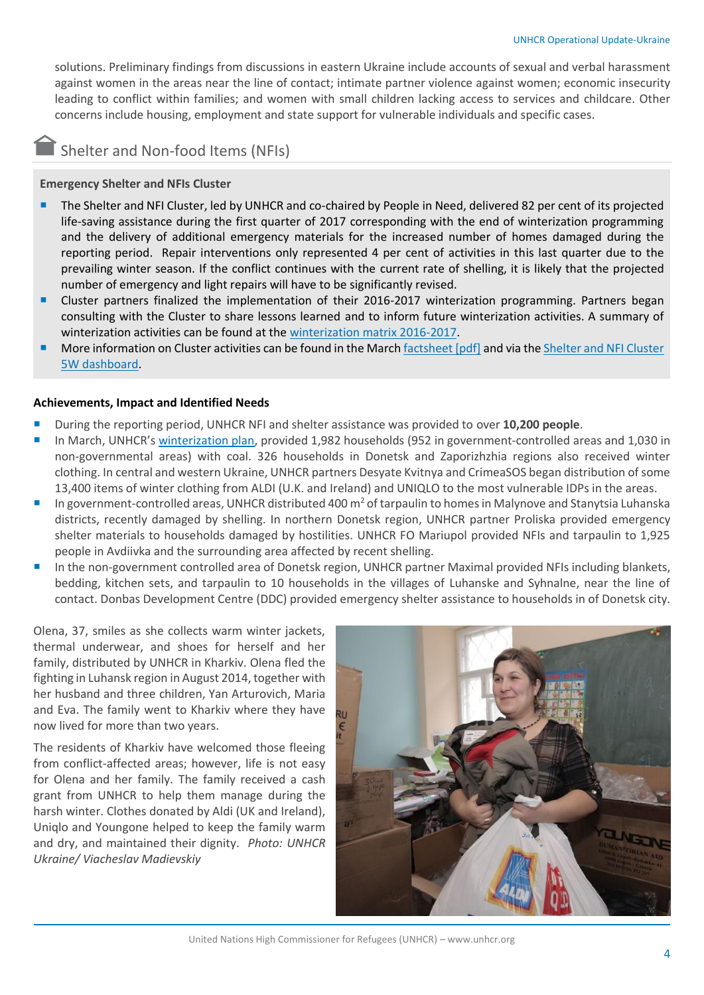solutions. Preliminary findings from discussions in eastern Ukraine include accounts of sexual and verbal harassment against women in the areas near the line of contact; intimate partner violence against women; economic insecurity leading to conflict within families; and women with small children lacking access to services and childcare. Other concerns include housing, employment and state support for vulnerable individuals and specific cases.

### Shelter and Non-food Items (NFIs)

**Emergency Shelter and NFIs Cluster**

- The Shelter and NFI Cluster, led by UNHCR and co-chaired by People in Need, delivered 82 per cent of its projected life-saving assistance during the first quarter of 2017 corresponding with the end of winterization programming and the delivery of additional emergency materials for the increased number of homes damaged during the reporting period. Repair interventions only represented 4 per cent of activities in this last quarter due to the prevailing winter season. If the conflict continues with the current rate of shelling, it is likely that the projected number of emergency and light repairs will have to be significantly revised.
- Cluster partners finalized the implementation of their 2016-2017 winterization programming. Partners began consulting with the Cluster to share lessons learned and to inform future winterization activities. A summary of winterization activities can be found at the [winterization matrix 2016-2017.](https://www.sheltercluster.org/northern-donbas/page/winterization-coverage-government-controlled-areas-ukraine)
- More information on Cluster activities can be found in the March [factsheet \[pdf\]](http://www.sheltercluster.org/ukraine/documents/ukraine-shelternfi-cluster-factsheet-no-23-mar-2017) and via the Shelter and NFI Cluster [5W dashboard.](http://www.sheltercluster.org/node/8915)

#### **Achievements, Impact and Identified Needs**

- During the reporting period, UNHCR NFI and shelter assistance was provided to over **10,200 people**.
- In March, UNHCR's [winterization plan,](http://unhcr.org.ua/attachments/article/1516/2016%2011%20UNHCR%20UKRAINE%20winterization%20Plan%202016-2017%20FINAL%20EN.jpg) provided 1,982 households (952 in government-controlled areas and 1,030 in non-governmental areas) with coal. 326 households in Donetsk and Zaporizhzhia regions also received winter clothing. In central and western Ukraine, UNHCR partners Desyate Kvitnya and CrimeaSOS began distribution of some 13,400 items of winter clothing from ALDI (U.K. and Ireland) and UNIQLO to the most vulnerable IDPs in the areas.
- In government-controlled areas, UNHCR distributed 400  $m^2$  of tarpaulin to homes in Malynove and Stanytsia Luhanska districts, recently damaged by shelling. In northern Donetsk region, UNHCR partner Proliska provided emergency shelter materials to households damaged by hostilities. UNHCR FO Mariupol provided NFIs and tarpaulin to 1,925 people in Avdiivka and the surrounding area affected by recent shelling.
- In the non-government controlled area of Donetsk region, UNHCR partner Maximal provided NFIs including blankets, bedding, kitchen sets, and tarpaulin to 10 households in the villages of Luhanske and Syhnalne, near the line of contact. Donbas Development Centre (DDC) provided emergency shelter assistance to households in of Donetsk city.

Olena, 37, smiles as she collects warm winter jackets, thermal underwear, and shoes for herself and her family, distributed by UNHCR in Kharkiv. Olena fled the fighting in Luhansk region in August 2014, together with her husband and three children, Yan Arturovich, Maria and Eva. The family went to Kharkiv where they have now lived for more than two years.

The residents of Kharkiv have welcomed those fleeing from conflict-affected areas; however, life is not easy for Olena and her family. The family received a cash grant from UNHCR to help them manage during the harsh winter. Clothes donated by Aldi (UK and Ireland), Uniqlo and Youngone helped to keep the family warm and dry, and maintained their dignity. *Photo: UNHCR Ukraine/ Viacheslav Madievskiy*



United Nations High Commissioner for Refugees (UNHCR) – www.unhcr.org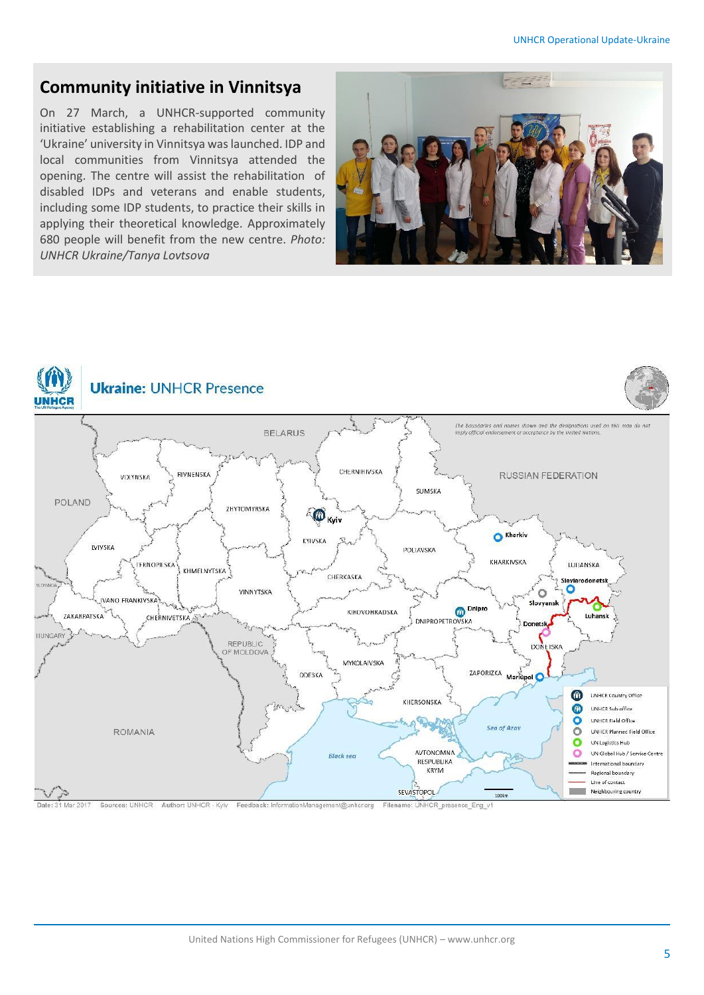### **Community initiative in Vinnitsya**

On 27 March, a UNHCR-supported community initiative establishing a rehabilitation center at the 'Ukraine' university in Vinnitsya was launched. IDP and local communities from Vinnitsya attended the opening. The centre will assist the rehabilitation of disabled IDPs and veterans and enable students, including some IDP students, to practice their skills in applying their theoretical knowledge. Approximately 680 people will benefit from the new centre. *Photo: UNHCR Ukraine/Tanya Lovtsova*